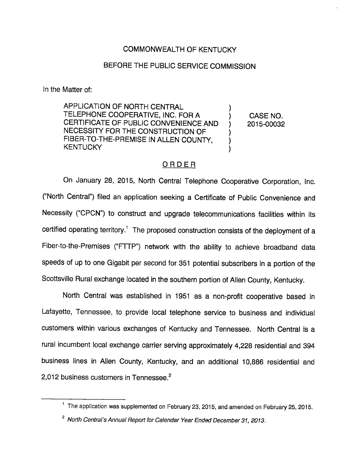# COMMONWEALTH OF KENTUCKY

# BEFORE THE PUBLIC SERVICE COMMISSION

In the Matter of:

APPLICATION OF NORTH CENTRAL TELEPHONE COOPERATIVE, INC. FOR A **CASE NO.** CERTIFICATE OF PUBLIC CONVENIENCE AND ) 2015-00032 NECESSITY FOR THE CONSTRUCTION OF FIBER-TO-THE-PREMISE IN ALLEN COUNTY, **KENTUCKY** 

#### ORDER

On January 28, 2015, North Central Telephone Cooperative Corporation, Inc. ("North Central") filed an application seeking a Certificate of Public Convenience and Necessity ("CPCN") to construct and upgrade telecommunications facilities within its certified operating territory.<sup>1</sup> The proposed construction consists of the deployment of a Fiber-to-the-Premises ("FTTP") network with the ability to achieve broadband data speeds of up to one Gigabit per second for 351 potential subscribers in a portion of the Scottsville Rural exchange located in the southern portion of Allen County, Kentucky.

North Central was established in 1951 as a non-profit cooperative based in Lafayette, Tennessee, to provide local telephone service to business and individual customers within various exchanges of Kentucky and Tennessee. North Central is a rural incumbent local exchange carrier serving approximately 4,228 residential and 394 business lines in Allen County, Kentucky, and an additional 10,886 residential and 2,012 business customers in Tennessee.<sup>2</sup>

 $<sup>1</sup>$  The application was supplemented on February 23, 2015, and amended on February 25, 2015.</sup>

 $2$  North Central's Annual Report for Calendar Year Ended December 31, 2013.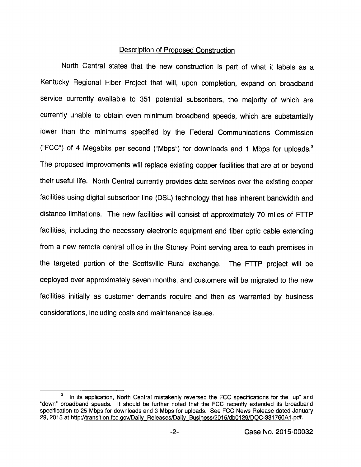### Description of Proposed Construction

North Central states that the new construction is part of what it labels as a Kentucky Regional Fiber Project that will, upon completion, expand on broadband service currently available to 351 potential subscribers, the majority of which are currently unable to obtain even minimum broadband speeds, which are substantially lower than the minimums specified by the Federal Communications Commission ("FCC") of 4 Megabits per second ("Mbps") for downloads and 1 Mbps for uploads.® The proposed improvements will replace existing copperfacilities that are at or beyond their useful life. North Central currently provides data services over the existing copper facilities using digital subscriber line (DSL) technology that has inherent bandwidth and distance limitations. The new facilities will consist of approximately 70 miles of FTTP facilities, including the necessary electronic equipment and fiber optic cable extending from a new remote central office in the Stoney Point serving area to each premises in the targeted portion of the Scottsville Rural exchange. The FTTP project will be deployed over approximately seven months, and customers will be migrated to the new facilities initially as customer demands require and then as warranted by business considerations, including costs and maintenance issues.

In its application, North Central mistakenly reversed the FCC specifications for the "up" and "down" broadband speeds. It should be further noted that the FCC recently extended its broadband specification to 25 Mbps for downloads and 3 Mbps for uploads. See FCC News Release dated January 29, 2015 at http://transition.fcc.gov/Daily Releases/Daily Business/2015/db0129/DOC-331760A1.pdf.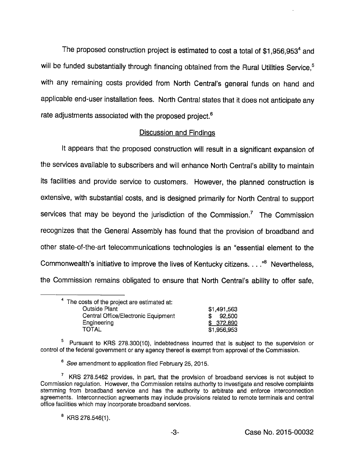The proposed construction project is estimated to cost a total of  $$1,956,953<sup>4</sup>$  and will be funded substantially through financing obtained from the Rural Utilities Service,<sup>5</sup> with any remaining costs provided from North Central's general funds on hand and applicable end-user installation fees. North Central states that it does not anticipate any rate adjustments associated with the proposed project.<sup>6</sup>

### **Discussion and Findings**

It appears that the proposed construction will result in a significant expansion of the services available to subscribers and will enhance North Central's ability to maintain its facilities and provide service to customers. However, the planned construction is extensive, with substantial costs, and is designed primarily for North Central to support services that may be beyond the jurisdiction of the Commission.<sup>7</sup> The Commission recognizes that the General Assembly has found that the provision of broadband and other state-of-the-art telecommunications technologies is an "essential element to the Commonwealth's initiative to improve the lives of Kentucky citizens.  $\dots$ <sup>8</sup> Nevertheless, the Commission remains obligated to ensure that North Central's ability to offer safe.

| <sup>4</sup> The costs of the project are estimated at: |             |
|---------------------------------------------------------|-------------|
| <b>Outside Plant</b>                                    | \$1,491,563 |
| Central Office/Electronic Equipment                     | 92,500      |
| Engineering                                             | \$372,890   |
| TOTAL                                                   | \$1,956,953 |

 $5$  Pursuant to KRS 278.300(10), indebtedness incurred that is subject to the supervision or control of the federal government or any agency thereof is exempt from approval of the Commission.

<sup>6</sup> See amendment to application filed February 25, 2015.

 $\frac{7}{1}$  KRS 278.5462 provides, in part, that the provision of broadband services is not subject to Commission regulation. However, the Commission retains authority to Investigate and resolve complaints stemming from broadband service and has the authority to arbitrate and enforce interconnection agreements. Interconnection agreements may Include provisions related to remote terminals and central office facilities which may incorporate broadband services.

 $B$  KRS 278.546(1).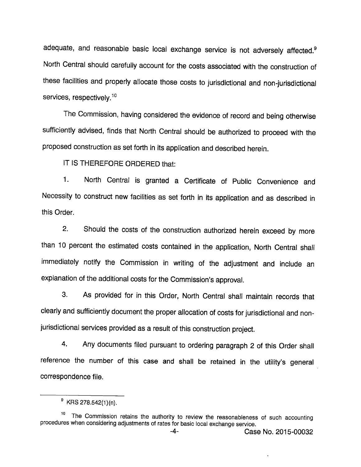adequate, and reasonable basic local exchange service is not adversely affected.<sup>9</sup> North Central should carefully account for the costs associated with the construction of these facilities and properly allocate those costs to jurisdictional and non-jurisdictional services, respectively.<sup>10</sup>

The Commission, having considered the evidence of record and being otherwise sufficiently advised, finds that North Central should be authorized to proceed with the proposed construction as set forth in its application and described herein.

IT IS THEREFORE ORDERED that:

1. North Central is granted a Certificate of Public Convenience and Necessity to construct new facilities as set forth in its application and as described in this Order.

2. Shouid the costs of the construction authorized herein exceed by more than 10 percent the estimated costs contained in the application. North Central shall immediately notify the Commission in writing of the adjustment and include an explanation of the additional costs for the Commission's approval.

3. As provided for in this Order, North Central shall maintain records that clearly and sufficiently document the proper allocation of costs for jurisdictional and nonjurisdictional services provided as a result of this construction project.

4. Any documents filed pursuant to ordering paragraph 2 of this Order shall reference the number of this case and shall be retained in the utility's general correspondence file.

 $^9$  KRS 278.542(1)(n).

<sup>&</sup>lt;sup>10</sup> The Commission retains the authority to review the reasonableness of such accounting procedures when considering adjustments of rates for basic iocai exchange service.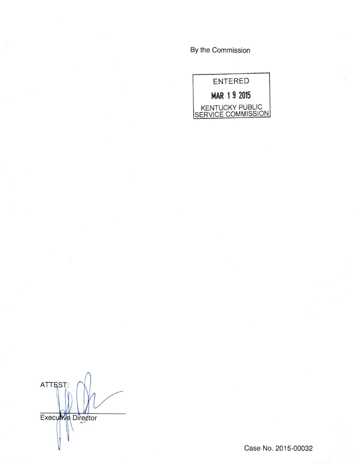By the Commission



ATTEST: Executive Director

Case No. 2015-00032